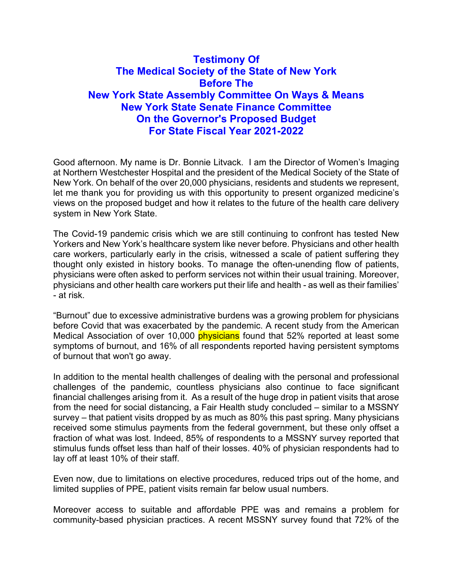# Testimony Of The Medical Society of the State of New York Before The New York State Assembly Committee On Ways & Means New York State Senate Finance Committee On the Governor's Proposed Budget For State Fiscal Year 2021-2022

Good afternoon. My name is Dr. Bonnie Litvack. I am the Director of Women's Imaging at Northern Westchester Hospital and the president of the Medical Society of the State of New York. On behalf of the over 20,000 physicians, residents and students we represent, let me thank you for providing us with this opportunity to present organized medicine's views on the proposed budget and how it relates to the future of the health care delivery system in New York State.

The Covid-19 pandemic crisis which we are still continuing to confront has tested New Yorkers and New York's healthcare system like never before. Physicians and other health care workers, particularly early in the crisis, witnessed a scale of patient suffering they thought only existed in history books. To manage the often-unending flow of patients, physicians were often asked to perform services not within their usual training. Moreover, physicians and other health care workers put their life and health - as well as their families' - at risk.

"Burnout" due to excessive administrative burdens was a growing problem for physicians before Covid that was exacerbated by the pandemic. A recent study from the American Medical Association of over 10,000 **physicians** found that 52% reported at least some symptoms of burnout, and 16% of all respondents reported having persistent symptoms of burnout that won't go away.

In addition to the mental health challenges of dealing with the personal and professional challenges of the pandemic, countless physicians also continue to face significant financial challenges arising from it. As a result of the huge drop in patient visits that arose from the need for social distancing, a Fair Health study concluded – similar to a MSSNY survey – that patient visits dropped by as much as 80% this past spring. Many physicians received some stimulus payments from the federal government, but these only offset a fraction of what was lost. Indeed, 85% of respondents to a MSSNY survey reported that stimulus funds offset less than half of their losses. 40% of physician respondents had to lay off at least 10% of their staff.

Even now, due to limitations on elective procedures, reduced trips out of the home, and limited supplies of PPE, patient visits remain far below usual numbers.

Moreover access to suitable and affordable PPE was and remains a problem for community-based physician practices. A recent MSSNY survey found that 72% of the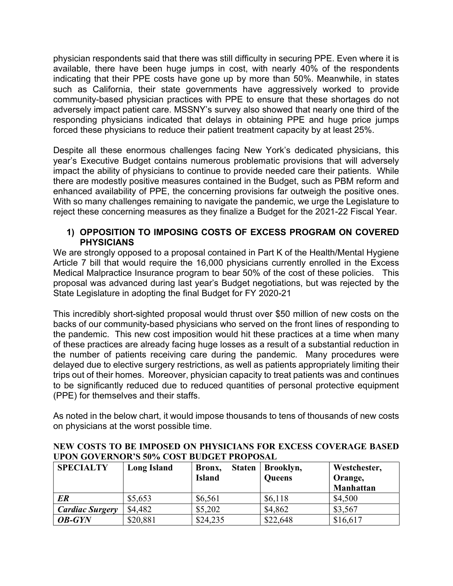physician respondents said that there was still difficulty in securing PPE. Even where it is available, there have been huge jumps in cost, with nearly 40% of the respondents indicating that their PPE costs have gone up by more than 50%. Meanwhile, in states such as California, their state governments have aggressively worked to provide community-based physician practices with PPE to ensure that these shortages do not adversely impact patient care. MSSNY's survey also showed that nearly one third of the responding physicians indicated that delays in obtaining PPE and huge price jumps forced these physicians to reduce their patient treatment capacity by at least 25%.

Despite all these enormous challenges facing New York's dedicated physicians, this year's Executive Budget contains numerous problematic provisions that will adversely impact the ability of physicians to continue to provide needed care their patients. While there are modestly positive measures contained in the Budget, such as PBM reform and enhanced availability of PPE, the concerning provisions far outweigh the positive ones. With so many challenges remaining to navigate the pandemic, we urge the Legislature to reject these concerning measures as they finalize a Budget for the 2021-22 Fiscal Year.

### 1) OPPOSITION TO IMPOSING COSTS OF EXCESS PROGRAM ON COVERED **PHYSICIANS**

We are strongly opposed to a proposal contained in Part K of the Health/Mental Hygiene Article 7 bill that would require the 16,000 physicians currently enrolled in the Excess Medical Malpractice Insurance program to bear 50% of the cost of these policies. This proposal was advanced during last year's Budget negotiations, but was rejected by the State Legislature in adopting the final Budget for FY 2020-21

This incredibly short-sighted proposal would thrust over \$50 million of new costs on the backs of our community-based physicians who served on the front lines of responding to the pandemic. This new cost imposition would hit these practices at a time when many of these practices are already facing huge losses as a result of a substantial reduction in the number of patients receiving care during the pandemic. Many procedures were delayed due to elective surgery restrictions, as well as patients appropriately limiting their trips out of their homes. Moreover, physician capacity to treat patients was and continues to be significantly reduced due to reduced quantities of personal protective equipment (PPE) for themselves and their staffs.

As noted in the below chart, it would impose thousands to tens of thousands of new costs on physicians at the worst possible time.

| <b>SPECIALTY</b>       | <b>Long Island</b> | <b>Staten</b><br>Bronx,<br><b>Island</b> | Brooklyn,<br><b>Queens</b> | Westchester,<br>Orange,<br>Manhattan |
|------------------------|--------------------|------------------------------------------|----------------------------|--------------------------------------|
| ER                     | \$5,653            | \$6,561                                  | \$6,118                    | \$4,500                              |
| <b>Cardiac Surgery</b> | \$4,482            | \$5,202                                  | \$4,862                    | \$3,567                              |
| <b>OB-GYN</b>          | \$20,881           | \$24,235                                 | \$22,648                   | \$16,617                             |

NEW COSTS TO BE IMPOSED ON PHYSICIANS FOR EXCESS COVERAGE BASED UPON GOVERNOR'S 50% COST BUDGET PROPOSAL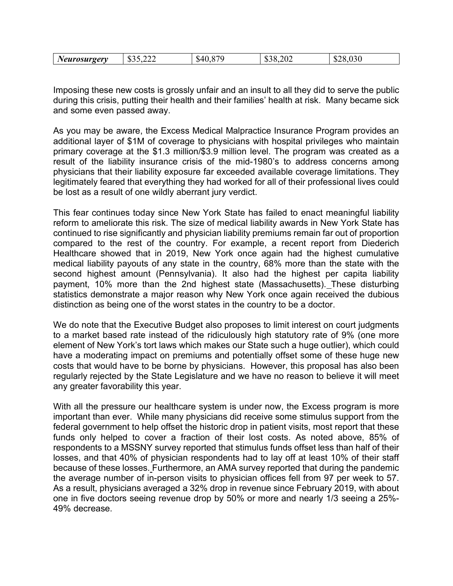| $\sim$ $\sim$<br>$\sim$ $\sim$<br>$\mathbb{C}$<br>Œ<br>$\rho_{\ell}$<br>. .<br>$\overline{\phantom{a}}$<br>٠D.<br>.n<br>.D.<br>. .<br><br>ے پ<br>_____ |
|--------------------------------------------------------------------------------------------------------------------------------------------------------|
|--------------------------------------------------------------------------------------------------------------------------------------------------------|

Imposing these new costs is grossly unfair and an insult to all they did to serve the public during this crisis, putting their health and their families' health at risk. Many became sick and some even passed away.

As you may be aware, the Excess Medical Malpractice Insurance Program provides an additional layer of \$1M of coverage to physicians with hospital privileges who maintain primary coverage at the \$1.3 million/\$3.9 million level. The program was created as a result of the liability insurance crisis of the mid-1980's to address concerns among physicians that their liability exposure far exceeded available coverage limitations. They legitimately feared that everything they had worked for all of their professional lives could be lost as a result of one wildly aberrant jury verdict.

This fear continues today since New York State has failed to enact meaningful liability reform to ameliorate this risk. The size of medical liability awards in New York State has continued to rise significantly and physician liability premiums remain far out of proportion compared to the rest of the country. For example, a recent report from Diederich Healthcare showed that in 2019, New York once again had the highest cumulative medical liability payouts of any state in the country, 68% more than the state with the second highest amount (Pennsylvania). It also had the highest per capita liability payment, 10% more than the 2nd highest state (Massachusetts). These disturbing statistics demonstrate a major reason why New York once again received the dubious distinction as being one of the worst states in the country to be a doctor.

We do note that the Executive Budget also proposes to limit interest on court judgments to a market based rate instead of the ridiculously high statutory rate of 9% (one more element of New York's tort laws which makes our State such a huge outlier), which could have a moderating impact on premiums and potentially offset some of these huge new costs that would have to be borne by physicians. However, this proposal has also been regularly rejected by the State Legislature and we have no reason to believe it will meet any greater favorability this year.

With all the pressure our healthcare system is under now, the Excess program is more important than ever. While many physicians did receive some stimulus support from the federal government to help offset the historic drop in patient visits, most report that these funds only helped to cover a fraction of their lost costs. As noted above, 85% of respondents to a MSSNY survey reported that stimulus funds offset less than half of their losses, and that 40% of physician respondents had to lay off at least 10% of their staff because of these losses. Furthermore, an AMA survey reported that during the pandemic the average number of in-person visits to physician offices fell from 97 per week to 57. As a result, physicians averaged a 32% drop in revenue since February 2019, with about one in five doctors seeing revenue drop by 50% or more and nearly 1/3 seeing a 25%- 49% decrease.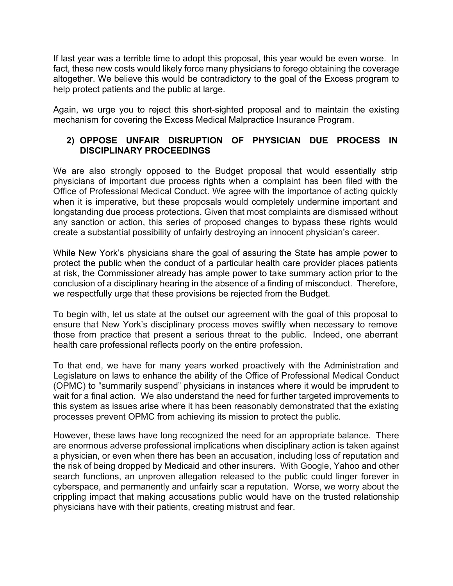If last year was a terrible time to adopt this proposal, this year would be even worse. In fact, these new costs would likely force many physicians to forego obtaining the coverage altogether. We believe this would be contradictory to the goal of the Excess program to help protect patients and the public at large.

Again, we urge you to reject this short-sighted proposal and to maintain the existing mechanism for covering the Excess Medical Malpractice Insurance Program.

### 2) OPPOSE UNFAIR DISRUPTION OF PHYSICIAN DUE PROCESS IN DISCIPLINARY PROCEEDINGS

We are also strongly opposed to the Budget proposal that would essentially strip physicians of important due process rights when a complaint has been filed with the Office of Professional Medical Conduct. We agree with the importance of acting quickly when it is imperative, but these proposals would completely undermine important and longstanding due process protections. Given that most complaints are dismissed without any sanction or action, this series of proposed changes to bypass these rights would create a substantial possibility of unfairly destroying an innocent physician's career.

While New York's physicians share the goal of assuring the State has ample power to protect the public when the conduct of a particular health care provider places patients at risk, the Commissioner already has ample power to take summary action prior to the conclusion of a disciplinary hearing in the absence of a finding of misconduct. Therefore, we respectfully urge that these provisions be rejected from the Budget.

To begin with, let us state at the outset our agreement with the goal of this proposal to ensure that New York's disciplinary process moves swiftly when necessary to remove those from practice that present a serious threat to the public. Indeed, one aberrant health care professional reflects poorly on the entire profession.

To that end, we have for many years worked proactively with the Administration and Legislature on laws to enhance the ability of the Office of Professional Medical Conduct (OPMC) to "summarily suspend" physicians in instances where it would be imprudent to wait for a final action. We also understand the need for further targeted improvements to this system as issues arise where it has been reasonably demonstrated that the existing processes prevent OPMC from achieving its mission to protect the public.

However, these laws have long recognized the need for an appropriate balance. There are enormous adverse professional implications when disciplinary action is taken against a physician, or even when there has been an accusation, including loss of reputation and the risk of being dropped by Medicaid and other insurers. With Google, Yahoo and other search functions, an unproven allegation released to the public could linger forever in cyberspace, and permanently and unfairly scar a reputation. Worse, we worry about the crippling impact that making accusations public would have on the trusted relationship physicians have with their patients, creating mistrust and fear.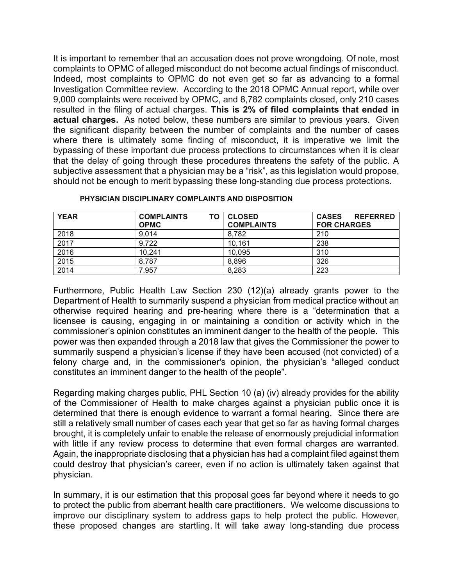It is important to remember that an accusation does not prove wrongdoing. Of note, most complaints to OPMC of alleged misconduct do not become actual findings of misconduct. Indeed, most complaints to OPMC do not even get so far as advancing to a formal Investigation Committee review. According to the 2018 OPMC Annual report, while over 9,000 complaints were received by OPMC, and 8,782 complaints closed, only 210 cases resulted in the filing of actual charges. This is 2% of filed complaints that ended in actual charges. As noted below, these numbers are similar to previous years. Given the significant disparity between the number of complaints and the number of cases where there is ultimately some finding of misconduct, it is imperative we limit the bypassing of these important due process protections to circumstances when it is clear that the delay of going through these procedures threatens the safety of the public. A subjective assessment that a physician may be a "risk", as this legislation would propose, should not be enough to merit bypassing these long-standing due process protections.

| <b>YEAR</b> | <b>COMPLAINTS</b><br>ΤO | <b>CLOSED</b>     | <b>CASES</b><br><b>REFERRED</b> |
|-------------|-------------------------|-------------------|---------------------------------|
|             | <b>OPMC</b>             | <b>COMPLAINTS</b> | <b>FOR CHARGES</b>              |
| 2018        | 9,014                   | 8.782             | 210                             |
| 2017        | 9,722                   | 10,161            | 238                             |
| 2016        | 10.241                  | 10,095            | 310                             |
| 2015        | 8,787                   | 8,896             | 326                             |
| 2014        | 7.957                   | 8,283             | 223                             |

#### PHYSICIAN DISCIPLINARY COMPLAINTS AND DISPOSITION

Furthermore, Public Health Law Section 230 (12)(a) already grants power to the Department of Health to summarily suspend a physician from medical practice without an otherwise required hearing and pre-hearing where there is a "determination that a licensee is causing, engaging in or maintaining a condition or activity which in the commissioner's opinion constitutes an imminent danger to the health of the people. This power was then expanded through a 2018 law that gives the Commissioner the power to summarily suspend a physician's license if they have been accused (not convicted) of a felony charge and, in the commissioner's opinion, the physician's "alleged conduct constitutes an imminent danger to the health of the people".

Regarding making charges public, PHL Section 10 (a) (iv) already provides for the ability of the Commissioner of Health to make charges against a physician public once it is determined that there is enough evidence to warrant a formal hearing. Since there are still a relatively small number of cases each year that get so far as having formal charges brought, it is completely unfair to enable the release of enormously prejudicial information with little if any review process to determine that even formal charges are warranted. Again, the inappropriate disclosing that a physician has had a complaint filed against them could destroy that physician's career, even if no action is ultimately taken against that physician.

In summary, it is our estimation that this proposal goes far beyond where it needs to go to protect the public from aberrant health care practitioners. We welcome discussions to improve our disciplinary system to address gaps to help protect the public. However, these proposed changes are startling. It will take away long-standing due process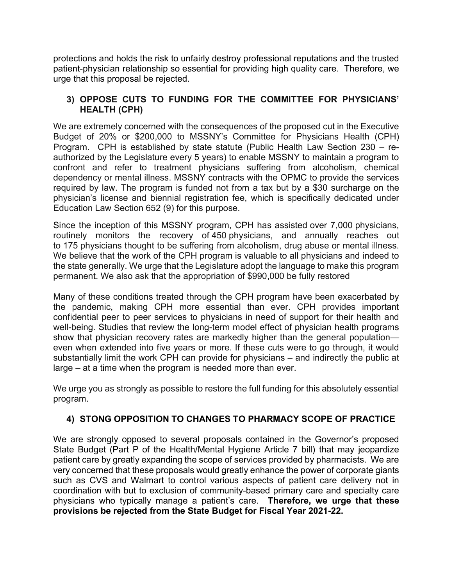protections and holds the risk to unfairly destroy professional reputations and the trusted patient-physician relationship so essential for providing high quality care. Therefore, we urge that this proposal be rejected.

### 3) OPPOSE CUTS TO FUNDING FOR THE COMMITTEE FOR PHYSICIANS' HEALTH (CPH)

We are extremely concerned with the consequences of the proposed cut in the Executive Budget of 20% or \$200,000 to MSSNY's Committee for Physicians Health (CPH) Program. CPH is established by state statute (Public Health Law Section 230 – reauthorized by the Legislature every 5 years) to enable MSSNY to maintain a program to confront and refer to treatment physicians suffering from alcoholism, chemical dependency or mental illness. MSSNY contracts with the OPMC to provide the services required by law. The program is funded not from a tax but by a \$30 surcharge on the physician's license and biennial registration fee, which is specifically dedicated under Education Law Section 652 (9) for this purpose.

Since the inception of this MSSNY program, CPH has assisted over 7,000 physicians, routinely monitors the recovery of 450 physicians, and annually reaches out to 175 physicians thought to be suffering from alcoholism, drug abuse or mental illness. We believe that the work of the CPH program is valuable to all physicians and indeed to the state generally. We urge that the Legislature adopt the language to make this program permanent. We also ask that the appropriation of \$990,000 be fully restored

Many of these conditions treated through the CPH program have been exacerbated by the pandemic, making CPH more essential than ever. CPH provides important confidential peer to peer services to physicians in need of support for their health and well-being. Studies that review the long-term model effect of physician health programs show that physician recovery rates are markedly higher than the general population even when extended into five years or more. If these cuts were to go through, it would substantially limit the work CPH can provide for physicians – and indirectly the public at large – at a time when the program is needed more than ever.

We urge you as strongly as possible to restore the full funding for this absolutely essential program.

# 4) STONG OPPOSITION TO CHANGES TO PHARMACY SCOPE OF PRACTICE

We are strongly opposed to several proposals contained in the Governor's proposed State Budget (Part P of the Health/Mental Hygiene Article 7 bill) that may jeopardize patient care by greatly expanding the scope of services provided by pharmacists. We are very concerned that these proposals would greatly enhance the power of corporate giants such as CVS and Walmart to control various aspects of patient care delivery not in coordination with but to exclusion of community-based primary care and specialty care physicians who typically manage a patient's care. Therefore, we urge that these provisions be rejected from the State Budget for Fiscal Year 2021-22.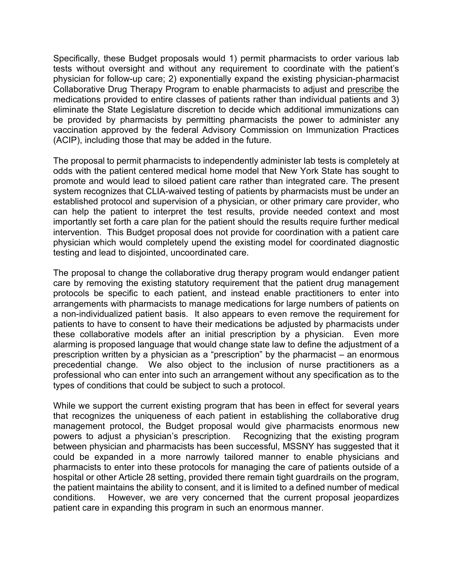Specifically, these Budget proposals would 1) permit pharmacists to order various lab tests without oversight and without any requirement to coordinate with the patient's physician for follow-up care; 2) exponentially expand the existing physician-pharmacist Collaborative Drug Therapy Program to enable pharmacists to adjust and prescribe the medications provided to entire classes of patients rather than individual patients and 3) eliminate the State Legislature discretion to decide which additional immunizations can be provided by pharmacists by permitting pharmacists the power to administer any vaccination approved by the federal Advisory Commission on Immunization Practices (ACIP), including those that may be added in the future.

The proposal to permit pharmacists to independently administer lab tests is completely at odds with the patient centered medical home model that New York State has sought to promote and would lead to siloed patient care rather than integrated care. The present system recognizes that CLIA-waived testing of patients by pharmacists must be under an established protocol and supervision of a physician, or other primary care provider, who can help the patient to interpret the test results, provide needed context and most importantly set forth a care plan for the patient should the results require further medical intervention. This Budget proposal does not provide for coordination with a patient care physician which would completely upend the existing model for coordinated diagnostic testing and lead to disjointed, uncoordinated care.

The proposal to change the collaborative drug therapy program would endanger patient care by removing the existing statutory requirement that the patient drug management protocols be specific to each patient, and instead enable practitioners to enter into arrangements with pharmacists to manage medications for large numbers of patients on a non-individualized patient basis. It also appears to even remove the requirement for patients to have to consent to have their medications be adjusted by pharmacists under these collaborative models after an initial prescription by a physician. Even more alarming is proposed language that would change state law to define the adjustment of a prescription written by a physician as a "prescription" by the pharmacist – an enormous precedential change. We also object to the inclusion of nurse practitioners as a professional who can enter into such an arrangement without any specification as to the types of conditions that could be subject to such a protocol.

While we support the current existing program that has been in effect for several years that recognizes the uniqueness of each patient in establishing the collaborative drug management protocol, the Budget proposal would give pharmacists enormous new powers to adjust a physician's prescription. Recognizing that the existing program between physician and pharmacists has been successful, MSSNY has suggested that it could be expanded in a more narrowly tailored manner to enable physicians and pharmacists to enter into these protocols for managing the care of patients outside of a hospital or other Article 28 setting, provided there remain tight guardrails on the program, the patient maintains the ability to consent, and it is limited to a defined number of medical conditions. However, we are very concerned that the current proposal jeopardizes patient care in expanding this program in such an enormous manner.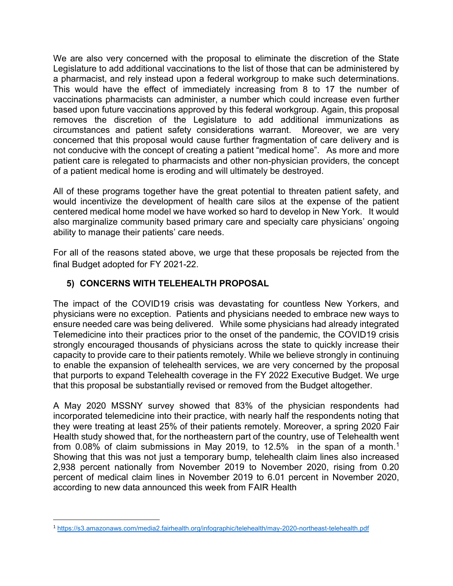We are also very concerned with the proposal to eliminate the discretion of the State Legislature to add additional vaccinations to the list of those that can be administered by a pharmacist, and rely instead upon a federal workgroup to make such determinations. This would have the effect of immediately increasing from 8 to 17 the number of vaccinations pharmacists can administer, a number which could increase even further based upon future vaccinations approved by this federal workgroup. Again, this proposal removes the discretion of the Legislature to add additional immunizations as circumstances and patient safety considerations warrant. Moreover, we are very concerned that this proposal would cause further fragmentation of care delivery and is not conducive with the concept of creating a patient "medical home". As more and more patient care is relegated to pharmacists and other non-physician providers, the concept of a patient medical home is eroding and will ultimately be destroyed.

All of these programs together have the great potential to threaten patient safety, and would incentivize the development of health care silos at the expense of the patient centered medical home model we have worked so hard to develop in New York. It would also marginalize community based primary care and specialty care physicians' ongoing ability to manage their patients' care needs.

For all of the reasons stated above, we urge that these proposals be rejected from the final Budget adopted for FY 2021-22.

# 5) CONCERNS WITH TELEHEALTH PROPOSAL

The impact of the COVID19 crisis was devastating for countless New Yorkers, and physicians were no exception. Patients and physicians needed to embrace new ways to ensure needed care was being delivered. While some physicians had already integrated Telemedicine into their practices prior to the onset of the pandemic, the COVID19 crisis strongly encouraged thousands of physicians across the state to quickly increase their capacity to provide care to their patients remotely. While we believe strongly in continuing to enable the expansion of telehealth services, we are very concerned by the proposal that purports to expand Telehealth coverage in the FY 2022 Executive Budget. We urge that this proposal be substantially revised or removed from the Budget altogether.

A May 2020 MSSNY survey showed that 83% of the physician respondents had incorporated telemedicine into their practice, with nearly half the respondents noting that they were treating at least 25% of their patients remotely. Moreover, a spring 2020 Fair Health study showed that, for the northeastern part of the country, use of Telehealth went from 0.08% of claim submissions in May 2019, to 12.5% in the span of a month.<sup>1</sup> Showing that this was not just a temporary bump, telehealth claim lines also increased 2,938 percent nationally from November 2019 to November 2020, rising from 0.20 percent of medical claim lines in November 2019 to 6.01 percent in November 2020, according to new data announced this week from FAIR Health

<sup>1</sup> https://s3.amazonaws.com/media2.fairhealth.org/infographic/telehealth/may-2020-northeast-telehealth.pdf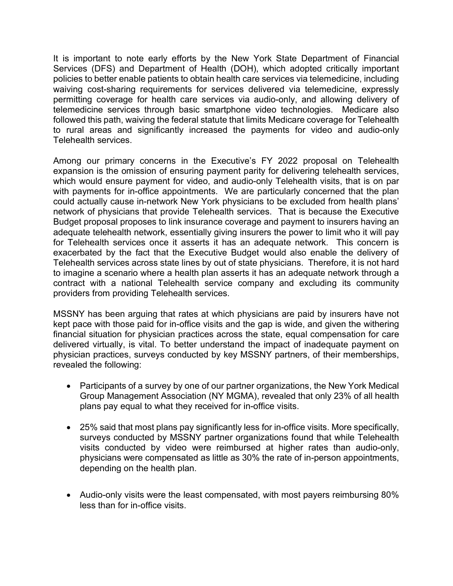It is important to note early efforts by the New York State Department of Financial Services (DFS) and Department of Health (DOH), which adopted critically important policies to better enable patients to obtain health care services via telemedicine, including waiving cost-sharing requirements for services delivered via telemedicine, expressly permitting coverage for health care services via audio-only, and allowing delivery of telemedicine services through basic smartphone video technologies. Medicare also followed this path, waiving the federal statute that limits Medicare coverage for Telehealth to rural areas and significantly increased the payments for video and audio-only Telehealth services.

Among our primary concerns in the Executive's FY 2022 proposal on Telehealth expansion is the omission of ensuring payment parity for delivering telehealth services, which would ensure payment for video, and audio-only Telehealth visits, that is on par with payments for in-office appointments. We are particularly concerned that the plan could actually cause in-network New York physicians to be excluded from health plans' network of physicians that provide Telehealth services. That is because the Executive Budget proposal proposes to link insurance coverage and payment to insurers having an adequate telehealth network, essentially giving insurers the power to limit who it will pay for Telehealth services once it asserts it has an adequate network. This concern is exacerbated by the fact that the Executive Budget would also enable the delivery of Telehealth services across state lines by out of state physicians. Therefore, it is not hard to imagine a scenario where a health plan asserts it has an adequate network through a contract with a national Telehealth service company and excluding its community providers from providing Telehealth services.

MSSNY has been arguing that rates at which physicians are paid by insurers have not kept pace with those paid for in-office visits and the gap is wide, and given the withering financial situation for physician practices across the state, equal compensation for care delivered virtually, is vital. To better understand the impact of inadequate payment on physician practices, surveys conducted by key MSSNY partners, of their memberships, revealed the following:

- Participants of a survey by one of our partner organizations, the New York Medical Group Management Association (NY MGMA), revealed that only 23% of all health plans pay equal to what they received for in-office visits.
- 25% said that most plans pay significantly less for in-office visits. More specifically, surveys conducted by MSSNY partner organizations found that while Telehealth visits conducted by video were reimbursed at higher rates than audio-only, physicians were compensated as little as 30% the rate of in-person appointments, depending on the health plan.
- Audio-only visits were the least compensated, with most payers reimbursing 80% less than for in-office visits.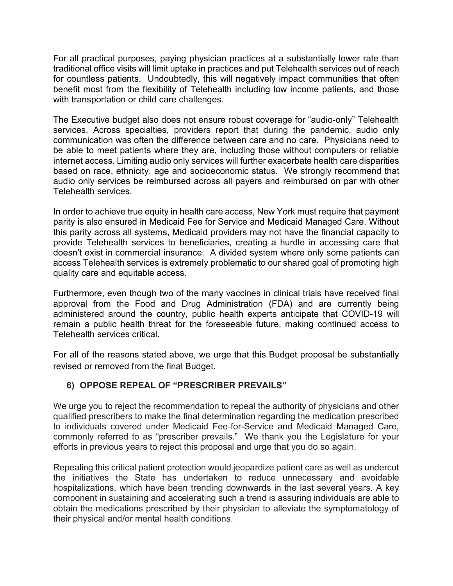For all practical purposes, paying physician practices at a substantially lower rate than traditional office visits will limit uptake in practices and put Telehealth services out of reach for countless patients. Undoubtedly, this will negatively impact communities that often benefit most from the flexibility of Telehealth including low income patients, and those with transportation or child care challenges.

The Executive budget also does not ensure robust coverage for "audio-only" Telehealth services. Across specialties, providers report that during the pandemic, audio only communication was often the difference between care and no care. Physicians need to be able to meet patients where they are, including those without computers or reliable internet access. Limiting audio only services will further exacerbate health care disparities based on race, ethnicity, age and socioeconomic status. We strongly recommend that audio only services be reimbursed across all payers and reimbursed on par with other Telehealth services.

In order to achieve true equity in health care access, New York must require that payment parity is also ensured in Medicaid Fee for Service and Medicaid Managed Care. Without this parity across all systems, Medicaid providers may not have the financial capacity to provide Telehealth services to beneficiaries, creating a hurdle in accessing care that doesn't exist in commercial insurance. A divided system where only some patients can access Telehealth services is extremely problematic to our shared goal of promoting high quality care and equitable access.

Furthermore, even though two of the many vaccines in clinical trials have received final approval from the Food and Drug Administration (FDA) and are currently being administered around the country, public health experts anticipate that COVID-19 will remain a public health threat for the foreseeable future, making continued access to Telehealth services critical.

For all of the reasons stated above, we urge that this Budget proposal be substantially revised or removed from the final Budget.

### 6) OPPOSE REPEAL OF "PRESCRIBER PREVAILS"

We urge you to reject the recommendation to repeal the authority of physicians and other qualified prescribers to make the final determination regarding the medication prescribed to individuals covered under Medicaid Fee-for-Service and Medicaid Managed Care, commonly referred to as "prescriber prevails." We thank you the Legislature for your efforts in previous years to reject this proposal and urge that you do so again.

Repealing this critical patient protection would jeopardize patient care as well as undercut the initiatives the State has undertaken to reduce unnecessary and avoidable hospitalizations, which have been trending downwards in the last several years. A key component in sustaining and accelerating such a trend is assuring individuals are able to obtain the medications prescribed by their physician to alleviate the symptomatology of their physical and/or mental health conditions.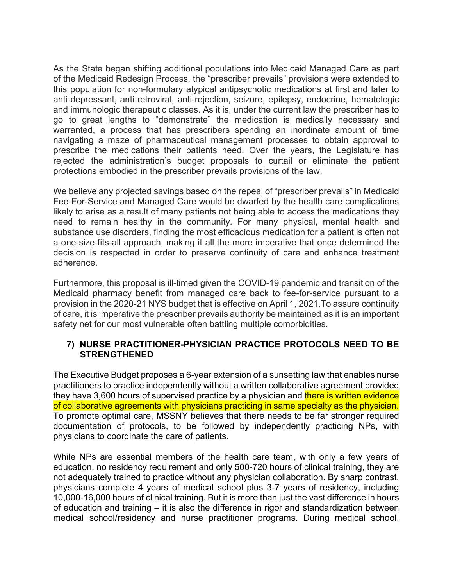As the State began shifting additional populations into Medicaid Managed Care as part of the Medicaid Redesign Process, the "prescriber prevails" provisions were extended to this population for non-formulary atypical antipsychotic medications at first and later to anti-depressant, anti-retroviral, anti-rejection, seizure, epilepsy, endocrine, hematologic and immunologic therapeutic classes. As it is, under the current law the prescriber has to go to great lengths to "demonstrate" the medication is medically necessary and warranted, a process that has prescribers spending an inordinate amount of time navigating a maze of pharmaceutical management processes to obtain approval to prescribe the medications their patients need. Over the years, the Legislature has rejected the administration's budget proposals to curtail or eliminate the patient protections embodied in the prescriber prevails provisions of the law.

We believe any projected savings based on the repeal of "prescriber prevails" in Medicaid Fee-For-Service and Managed Care would be dwarfed by the health care complications likely to arise as a result of many patients not being able to access the medications they need to remain healthy in the community. For many physical, mental health and substance use disorders, finding the most efficacious medication for a patient is often not a one-size-fits-all approach, making it all the more imperative that once determined the decision is respected in order to preserve continuity of care and enhance treatment adherence.

Furthermore, this proposal is ill-timed given the COVID-19 pandemic and transition of the Medicaid pharmacy benefit from managed care back to fee-for-service pursuant to a provision in the 2020-21 NYS budget that is effective on April 1, 2021.To assure continuity of care, it is imperative the prescriber prevails authority be maintained as it is an important safety net for our most vulnerable often battling multiple comorbidities.

### 7) NURSE PRACTITIONER-PHYSICIAN PRACTICE PROTOCOLS NEED TO BE STRENGTHENED

The Executive Budget proposes a 6-year extension of a sunsetting law that enables nurse practitioners to practice independently without a written collaborative agreement provided they have 3,600 hours of supervised practice by a physician and there is written evidence of collaborative agreements with physicians practicing in same specialty as the physician. To promote optimal care, MSSNY believes that there needs to be far stronger required documentation of protocols, to be followed by independently practicing NPs, with physicians to coordinate the care of patients.

While NPs are essential members of the health care team, with only a few years of education, no residency requirement and only 500-720 hours of clinical training, they are not adequately trained to practice without any physician collaboration. By sharp contrast, physicians complete 4 years of medical school plus 3-7 years of residency, including 10,000-16,000 hours of clinical training. But it is more than just the vast difference in hours of education and training – it is also the difference in rigor and standardization between medical school/residency and nurse practitioner programs. During medical school,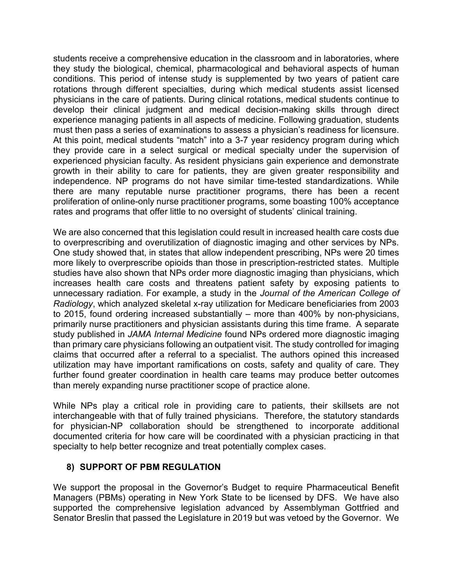students receive a comprehensive education in the classroom and in laboratories, where they study the biological, chemical, pharmacological and behavioral aspects of human conditions. This period of intense study is supplemented by two years of patient care rotations through different specialties, during which medical students assist licensed physicians in the care of patients. During clinical rotations, medical students continue to develop their clinical judgment and medical decision-making skills through direct experience managing patients in all aspects of medicine. Following graduation, students must then pass a series of examinations to assess a physician's readiness for licensure. At this point, medical students "match" into a 3-7 year residency program during which they provide care in a select surgical or medical specialty under the supervision of experienced physician faculty. As resident physicians gain experience and demonstrate growth in their ability to care for patients, they are given greater responsibility and independence. NP programs do not have similar time-tested standardizations. While there are many reputable nurse practitioner programs, there has been a recent proliferation of online-only nurse practitioner programs, some boasting 100% acceptance rates and programs that offer little to no oversight of students' clinical training.

We are also concerned that this legislation could result in increased health care costs due to overprescribing and overutilization of diagnostic imaging and other services by NPs. One study showed that, in states that allow independent prescribing, NPs were 20 times more likely to overprescribe opioids than those in prescription-restricted states. Multiple studies have also shown that NPs order more diagnostic imaging than physicians, which increases health care costs and threatens patient safety by exposing patients to unnecessary radiation. For example, a study in the Journal of the American College of Radiology, which analyzed skeletal x-ray utilization for Medicare beneficiaries from 2003 to 2015, found ordering increased substantially – more than 400% by non-physicians, primarily nurse practitioners and physician assistants during this time frame. A separate study published in JAMA Internal Medicine found NPs ordered more diagnostic imaging than primary care physicians following an outpatient visit. The study controlled for imaging claims that occurred after a referral to a specialist. The authors opined this increased utilization may have important ramifications on costs, safety and quality of care. They further found greater coordination in health care teams may produce better outcomes than merely expanding nurse practitioner scope of practice alone.

While NPs play a critical role in providing care to patients, their skillsets are not interchangeable with that of fully trained physicians. Therefore, the statutory standards for physician-NP collaboration should be strengthened to incorporate additional documented criteria for how care will be coordinated with a physician practicing in that specialty to help better recognize and treat potentially complex cases.

#### 8) SUPPORT OF PBM REGULATION

We support the proposal in the Governor's Budget to require Pharmaceutical Benefit Managers (PBMs) operating in New York State to be licensed by DFS. We have also supported the comprehensive legislation advanced by Assemblyman Gottfried and Senator Breslin that passed the Legislature in 2019 but was vetoed by the Governor. We